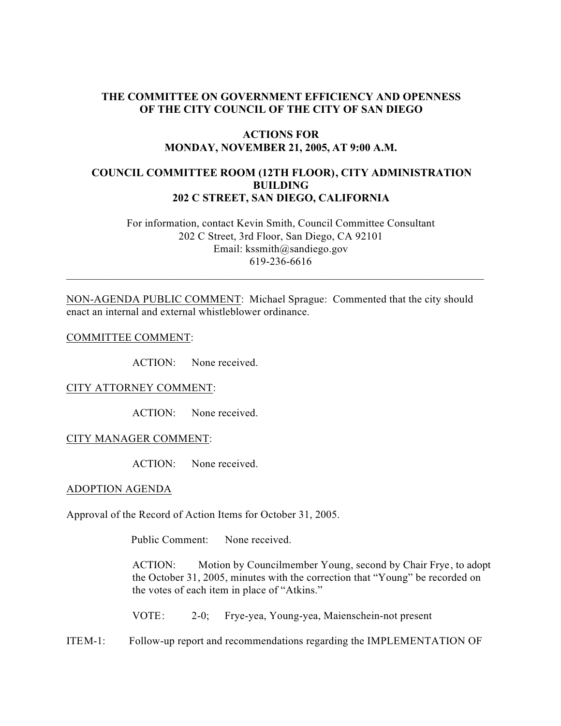## **THE COMMITTEE ON GOVERNMENT EFFICIENCY AND OPENNESS OF THE CITY COUNCIL OF THE CITY OF SAN DIEGO**

### **ACTIONS FOR MONDAY, NOVEMBER 21, 2005, AT 9:00 A.M.**

## **COUNCIL COMMITTEE ROOM (12TH FLOOR), CITY ADMINISTRATION BUILDING 202 C STREET, SAN DIEGO, CALIFORNIA**

 For information, contact Kevin Smith, Council Committee Consultant 202 C Street, 3rd Floor, San Diego, CA 92101 Email: kssmith@sandiego.gov 619-236-6616

NON-AGENDA PUBLIC COMMENT: Michael Sprague: Commented that the city should enact an internal and external whistleblower ordinance.

 $\_$  , and the set of the set of the set of the set of the set of the set of the set of the set of the set of the set of the set of the set of the set of the set of the set of the set of the set of the set of the set of th

COMMITTEE COMMENT:

ACTION: None received.

#### CITY ATTORNEY COMMENT:

ACTION: None received.

#### CITY MANAGER COMMENT:

ACTION: None received.

#### ADOPTION AGENDA

Approval of the Record of Action Items for October 31, 2005.

Public Comment: None received.

ACTION: Motion by Councilmember Young, second by Chair Frye, to adopt the October 31, 2005, minutes with the correction that "Young" be recorded on the votes of each item in place of "Atkins."

VOTE: 2-0; Frye-yea, Young-yea, Maienschein-not present

ITEM-1: Follow-up report and recommendations regarding the IMPLEMENTATION OF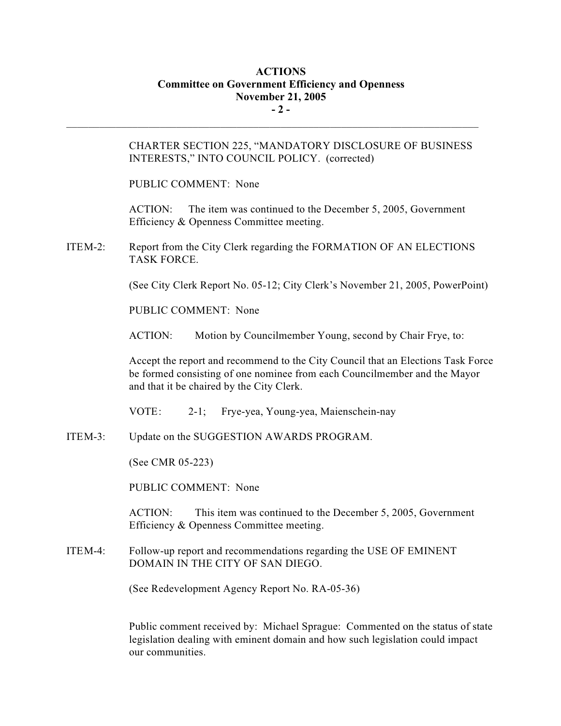# **ACTIONS Committee on Government Efficiency and Openness November 21, 2005 - 2 -**

 $\mathcal{L}_\text{max}$ 

CHARTER SECTION 225, "MANDATORY DISCLOSURE OF BUSINESS INTERESTS," INTO COUNCIL POLICY. (corrected)

PUBLIC COMMENT: None

ACTION: The item was continued to the December 5, 2005, Government Efficiency & Openness Committee meeting.

ITEM-2: Report from the City Clerk regarding the FORMATION OF AN ELECTIONS TASK FORCE.

(See City Clerk Report No. 05-12; City Clerk's November 21, 2005, PowerPoint)

PUBLIC COMMENT: None

ACTION: Motion by Councilmember Young, second by Chair Frye, to:

Accept the report and recommend to the City Council that an Elections Task Force be formed consisting of one nominee from each Councilmember and the Mayor and that it be chaired by the City Clerk.

VOTE: 2-1; Frye-yea, Young-yea, Maienschein-nay

ITEM-3: Update on the SUGGESTION AWARDS PROGRAM.

(See CMR 05-223)

PUBLIC COMMENT: None

ACTION: This item was continued to the December 5, 2005, Government Efficiency & Openness Committee meeting.

ITEM-4: Follow-up report and recommendations regarding the USE OF EMINENT DOMAIN IN THE CITY OF SAN DIEGO.

(See Redevelopment Agency Report No. RA-05-36)

Public comment received by: Michael Sprague: Commented on the status of state legislation dealing with eminent domain and how such legislation could impact our communities.